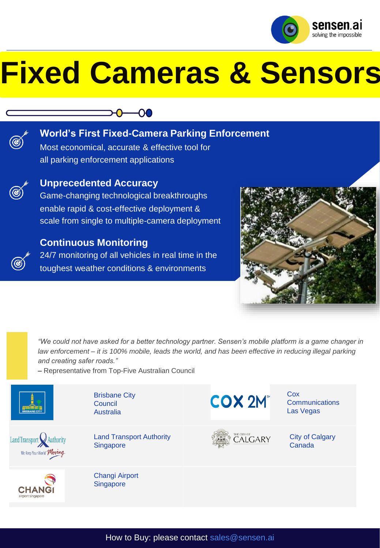

# **Fixed Cameras & Sensors**

# **00**



# **World's First Fixed-Camera Parking Enforcement**

Most economical, accurate & effective tool for all parking enforcement applications



## **Unprecedented Accuracy**

Game-changing technological breakthroughs enable rapid & cost-effective deployment & scale from single to multiple-camera deployment



24/7 monitoring of all vehicles in real time in the toughest weather conditions & environments



*"We could not have asked for a better technology partner. Sensen's mobile platform is a game changer in law enforcement – it is 100% mobile, leads the world, and has been effective in reducing illegal parking and creating safer roads."*

– Representative from Top-Five Australian Council

Brisbane City







**Council** Australia

Land Transport Authority **Singapore** 

Changi Airport **Singapore** 





Cox **Communications** Las Vegas

City of Calgary Canada